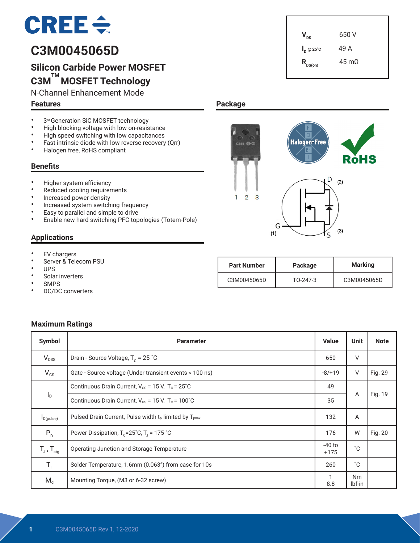# $CRE \div$

# **C3M0045065D**

# **Silicon Carbide Power MOSFET C3M TM MOSFET Technology**

N-Channel Enhancement Mode

#### **Features**

- 3<sup>rd</sup> Generation SiC MOSFET technology<br>• High blocking voltage with low on-resis
- High blocking voltage with low on-resistance<br>• High speed switching with low canacitances
- High speed switching with low capacitances<br>• Fact intrinsic diade with low reverse resevent
- Fast intrinsic diode with low reverse recovery (Qrr)<br>• Halogen free BoHS compliant
- Halogen free, RoHS compliant

#### **Benefits**

- Higher system efficiency
- Reduced cooling requirements
- Increased power density
- Increased system switching frequency
- Easy to parallel and simple to drive
- Enable new hard switching PFC topologies (Totem-Pole)

#### **Applications**

- EV chargers<br>• Server & Tele
- Server & Telecom PSU
- UPS
- Solar inverters
- **SMPS**
- DC/DC converters

## **Package**



 $V_{\text{ns}}$  650 V

**I <sup>D</sup> @ 25˚C** 49 A

 $R_{DS(on)}$  45 mΩ

| <b>Part Number</b> | Package    | <b>Marking</b> |
|--------------------|------------|----------------|
| C3M0045065D        | $TO-247-3$ | C3M0045065D    |

#### **Maximum Ratings**

| Symbol                     | <b>Parameter</b>                                              | <b>Value</b>       | <b>Unit</b>         | <b>Note</b> |
|----------------------------|---------------------------------------------------------------|--------------------|---------------------|-------------|
| $V_{DSS}$                  | Drain - Source Voltage, $T_c = 25$ °C                         | 650                | $\vee$              |             |
| $V_{GS}$                   | Gate - Source voltage (Under transient events < 100 ns)       | $-8/+19$           | V                   | Fig. 29     |
|                            | Continuous Drain Current, $V_{GS}$ = 15 V, $T_c$ = 25°C       |                    |                     |             |
| $I_{\text{D}}$             | Continuous Drain Current, $V_{GS}$ = 15 V, $T_c$ = 100°C      | 35                 | Α                   | Fig. 19     |
| $I_{D(pulse)}$             | Pulsed Drain Current, Pulse width $t_P$ limited by $T_{imax}$ | 132                | A                   |             |
| $P_{D}$                    | Power Dissipation, $T_c = 25^\circ C$ , $T_i = 175^\circ C$   | 176                | W                   | Fig. 20     |
| $T_{J}$ , $T_{\text{stg}}$ | Operating Junction and Storage Temperature                    | $-40$ to<br>$+175$ | $^{\circ}C$         |             |
| $T_{\rm L}$                | Solder Temperature, 1.6mm (0.063") from case for 10s          | 260                | $^{\circ}C$         |             |
| $M_d$                      | Mounting Torque, (M3 or 6-32 screw)                           | 8.8                | <b>Nm</b><br>lbf-in |             |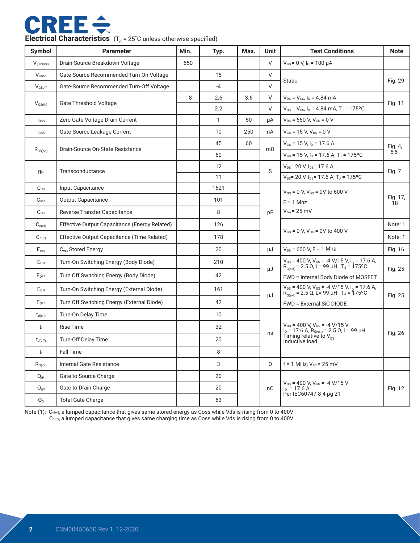

|  | <b>Electrical Characteristics</b> $(T_c = 25^{\circ}C)$ unless otherwise specified) |
|--|-------------------------------------------------------------------------------------|
|--|-------------------------------------------------------------------------------------|

| Symbol              | <b>Parameter</b>                              | Min. | Typ. | Max. | <b>Unit</b>            | <b>Test Conditions</b>                                                                                                                                                                                                      | <b>Note</b>    |
|---------------------|-----------------------------------------------|------|------|------|------------------------|-----------------------------------------------------------------------------------------------------------------------------------------------------------------------------------------------------------------------------|----------------|
| $V_{(BR)DSS}$       | Drain-Source Breakdown Voltage                | 650  |      |      | V                      | $V_{GS}$ = 0 V, $I_D$ = 100 $\mu$ A                                                                                                                                                                                         |                |
| V <sub>GSon</sub>   | Gate-Source Recommended Turn-On Voltage       |      | 15   |      | $\vee$                 | <b>Static</b>                                                                                                                                                                                                               |                |
| $V_{GSoft}$         | Gate-Source Recommended Turn-Off Voltage      |      | $-4$ |      | V                      |                                                                                                                                                                                                                             | Fig. 29        |
| $V_{\text{GS(th)}}$ | <b>Gate Threshold Voltage</b>                 | 1.8  | 2.6  | 3.6  | $\vee$                 | $V_{DS} = V_{GS}$ , $I_D = 4.84$ mA                                                                                                                                                                                         | Fig. 11        |
|                     |                                               |      | 2.2  |      | V                      | $V_{DS}$ = $V_{GS}$ , $I_D$ = 4.84 mA, T <sub>J</sub> = 175°C                                                                                                                                                               |                |
| $I_{DSS}$           | Zero Gate Voltage Drain Current               |      | 1    | 50   | μA                     | $V_{DS}$ = 650 V, $V_{GS}$ = 0 V                                                                                                                                                                                            |                |
| lgss                | Gate-Source Leakage Current                   |      | 10   | 250  | nA                     | $V_{GS}$ = 15 V, $V_{DS}$ = 0 V                                                                                                                                                                                             |                |
|                     | Drain-Source On-State Resistance              |      | 45   | 60   | $m\Omega$              | $V_{GS}$ = 15 V, $I_D$ = 17.6 A                                                                                                                                                                                             | Fig. 4,        |
| $R_{DS(on)}$        |                                               |      | 60   |      |                        | $V_{GS}$ = 15 V, $I_D$ = 17.6 A, T <sub>J</sub> = 175°C                                                                                                                                                                     | 5,6            |
| $g_{fs}$            | Transconductance                              |      | 12   |      | S                      | $V_{DS}$ = 20 V, $I_{DS}$ = 17.6 A                                                                                                                                                                                          | Fig. 7         |
|                     |                                               |      | 11   |      |                        | $V_{DS}$ = 20 V, $I_{DS}$ = 17.6 A, T <sub>J</sub> = 175°C                                                                                                                                                                  |                |
| $C_{\text{iss}}$    | Input Capacitance                             |      | 1621 |      |                        | $V_{GS}$ = 0 V, $V_{DS}$ = 0V to 600 V                                                                                                                                                                                      | Fig. 17,<br>Ī8 |
| $C_{\text{oss}}$    | <b>Output Capacitance</b>                     |      | 101  |      |                        | $F = 1$ Mhz                                                                                                                                                                                                                 |                |
| C <sub>rss</sub>    | Reverse Transfer Capacitance                  |      | 8    |      | pF                     | $V_{AC}$ = 25 mV                                                                                                                                                                                                            |                |
| $C_{o(er)}$         | Effective Output Capacitance (Energy Related) |      | 126  |      |                        |                                                                                                                                                                                                                             | Note: 1        |
| $C_{o(tr)}$         | Effective Output Capacitance (Time Related)   |      | 178  |      |                        | $V_{GS}$ = 0 V, $V_{DS}$ = 0V to 400 V                                                                                                                                                                                      | Note: 1        |
| $E_{\rm oss}$       | C <sub>oss</sub> Stored Energy                |      | 20   |      | μJ                     | $V_{DS}$ = 600 V, F = 1 Mhz                                                                                                                                                                                                 | Fig. 16        |
| $E_{ON}$            | Turn-On Switching Energy (Body Diode)         |      | 210  |      |                        | $V_{DS}$ = 400 V, $V_{GS}$ = -4 V/15 V, $I_p$ = 17.6 A,<br>$R_{G(\text{ext})}$ = 2.5 $\Omega$ , L= 99 µH, T <sub>J</sub> = 175°C                                                                                            |                |
| $E_{OFF}$           | Turn Off Switching Energy (Body Diode)        |      | 42   |      | μJ                     | FWD = Internal Body Diode of MOSFET                                                                                                                                                                                         | Fig. 25        |
| $E_{ON}$            | Turn-On Switching Energy (External Diode)     |      | 161  |      |                        | $V_{DS}$ = 400 V, $V_{GS}$ = -4 V/15 V, $I_{D}$ = 17.6 A,<br>$R_{G(\text{ext})}$ = 2.5 $\Omega$ , L= 99 µH, T <sub>J</sub> = 175°C                                                                                          |                |
| $E_{OFF}$           | Turn Off Switching Energy (External Diode)    |      | 42   |      | μJ                     | <b>FWD = External SiC DIODE</b>                                                                                                                                                                                             | Fig. 25        |
| $t_{d(on)}$         | Turn-On Delay Time                            |      | 10   |      |                        |                                                                                                                                                                                                                             |                |
| $t_{r}$             | <b>Rise Time</b>                              |      | 32   |      |                        | $V_{\text{DD}} = 400 \text{ V}, V_{\text{GS}} = -4 \text{ V} / 15 \text{ V}$<br>$I_{\text{D}} = 17.6 \text{ A}, R_{\text{G(xx)}} = 2.5 \Omega, L = 99 \mu \text{H}$<br>Timing relative to $V_{\text{DS}}$<br>Inductive load | Fig. 26        |
| $t_{d(off)}$        | Turn-Off Delay Time                           |      | 20   |      | ns                     |                                                                                                                                                                                                                             |                |
| tr                  | <b>Fall Time</b>                              |      | 8    |      |                        |                                                                                                                                                                                                                             |                |
| $R_{G(int)}$        | Internal Gate Resistance                      |      | 3    |      | $\Omega$               | f = 1 MHz, $V_{AC}$ = 25 mV                                                                                                                                                                                                 |                |
| $Q_{gs}$            | Gate to Source Charge<br>20                   |      |      |      |                        |                                                                                                                                                                                                                             |                |
| $Q_{\text{gd}}$     | Gate to Drain Charge                          |      | 20   |      | nС                     | $V_{DS}$ = 400 V, $V_{GS}$ = -4 V/15 V<br>$I_D = 17.6 A$                                                                                                                                                                    | Fig. 12        |
| $Q_{g}$             | <b>Total Gate Charge</b>                      |      | 63   |      | Per IEC60747-8-4 pg 21 |                                                                                                                                                                                                                             |                |

Note (1): Co(er), a lumped capacitance that gives same stored energy as Coss while Vds is rising from 0 to 400V Co(tr), a lumped capacitance that gives same charging time as Coss while Vds is rising from 0 to 400V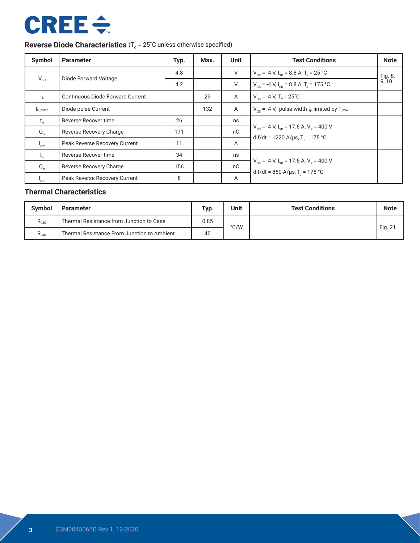# **CREE ÷**

# **Reverse Diode Characteristics** (T<sub>c</sub> = 25°C unless otherwise specified)

| Symbol                  | <b>Parameter</b>                        | Typ. | Max. | <b>Unit</b>    | <b>Test Conditions</b>                                                                                                 | <b>Note</b>      |
|-------------------------|-----------------------------------------|------|------|----------------|------------------------------------------------------------------------------------------------------------------------|------------------|
| $V_{SD}$                | Diode Forward Voltage                   | 4.8  |      | V              | $V_{\text{cs}}$ = -4 V, $I_{\text{sn}}$ = 8.8 A, T <sub>1</sub> = 25 °C                                                | Fig. 8,<br>9, 10 |
|                         |                                         | 4.2  |      | $\vee$         | $V_{\text{cs}}$ = -4 V, $I_{\text{sn}}$ = 8.8 A, T <sub>1</sub> = 175 °C                                               |                  |
| $\mathsf{I}_\mathsf{S}$ | <b>Continuous Diode Forward Current</b> |      | 29   | Α              | $V_{cs}$ = -4 V, T <sub>c</sub> = 25 <sup>°</sup> C                                                                    |                  |
| I <sub>S, pulse</sub>   | Diode pulse Current                     |      | 132  | $\overline{A}$ | $V_{\text{cs}}$ = -4 V, pulse width t <sub>p</sub> limited by T <sub>jmax</sub>                                        |                  |
| $t_{\rm r}$             | Reverse Recover time                    | 26   |      | ns             |                                                                                                                        |                  |
| $Q_{rr}$                | Reverse Recovery Charge                 | 171  |      | nC             | $V_{\text{gs}}$ = -4 V, I <sub>sp</sub> = 17.6 A, V <sub>R</sub> = 400 V                                               |                  |
| $I_{\rm rm}$            | Peak Reverse Recovery Current           | 11   |      | A              | dif/dt = 1220 A/µs, T <sub>1</sub> = 175 °C                                                                            |                  |
| $t_{\rm r}$             | Reverse Recover time                    | 34   |      | ns             |                                                                                                                        |                  |
| $Q_{rr}$                | Reverse Recovery Charge                 | 156  |      | nC             | $V_{\text{gs}}$ = -4 V, I <sub>sp</sub> = 17.6 A, V <sub>R</sub> = 400 V<br>dif/dt = 850 A/µs, T <sub>1</sub> = 175 °C |                  |
| 'rrm                    | Peak Reverse Recovery Current           | 8    |      | A              |                                                                                                                        |                  |

### **Thermal Characteristics**

| <b>Symbol</b><br><b>Parameter</b> |                                             | Typ. | <b>Unit</b> | <b>Test Conditions</b> | <b>Note</b> |
|-----------------------------------|---------------------------------------------|------|-------------|------------------------|-------------|
| $R_{0JC}$                         | Thermal Resistance from Junction to Case    | 0.85 | °C/W        |                        | Fig. 21     |
| $R_{\theta$ JA                    | Thermal Resistance From Junction to Ambient | 40   |             |                        |             |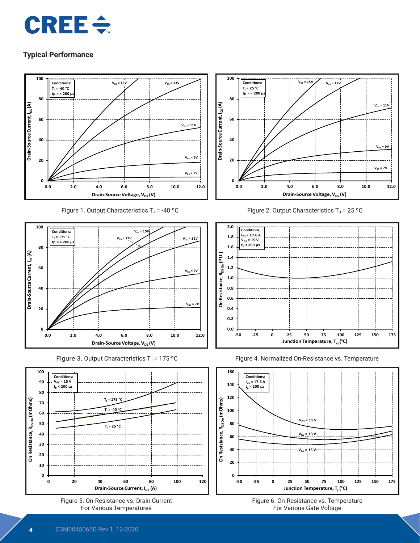



Figure 1. Output Characteristics  $T_J$  = -40 °C











Figure 2. Output Characteristics  $T_J$  = 25 °C







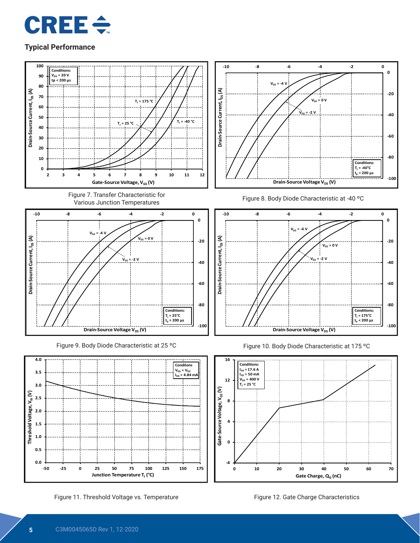



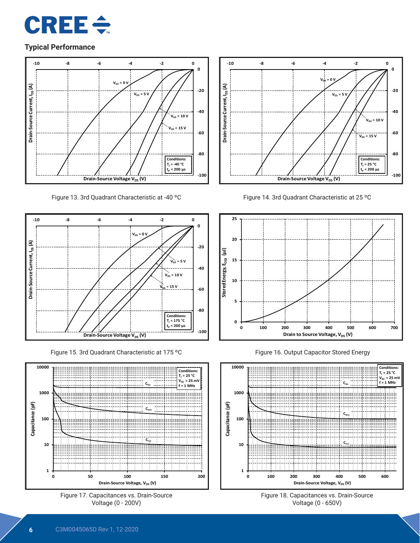



Figure 13. 3rd Quadrant Characteristic at -40 ºC



Figure 15. 3rd Quadrant Characteristic at 175 ºC











Figure 16. Output Capacitor Stored Energy



Figure 18. Capacitances vs. Drain-Source Voltage (0 - 650V)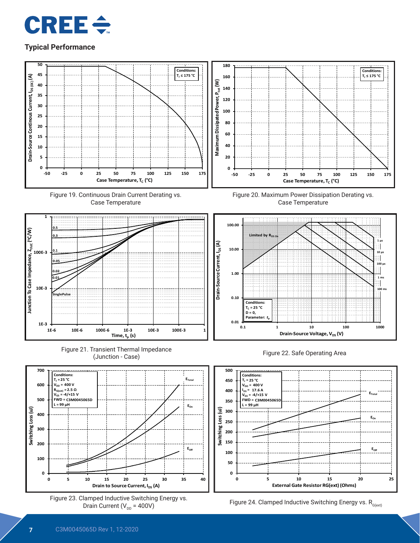



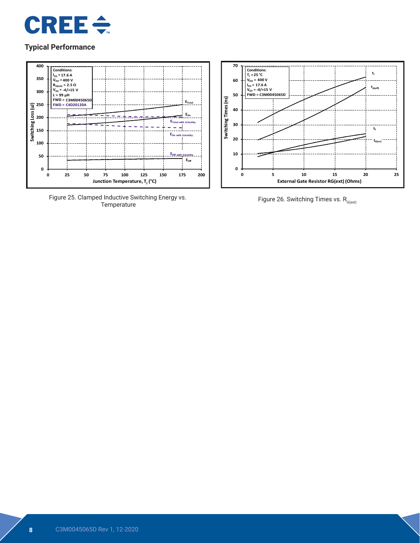



Figure 25. Clamped Inductive Switching Energy vs.



Figure 26. Switching Times vs.  $R_{G(\text{ext})}$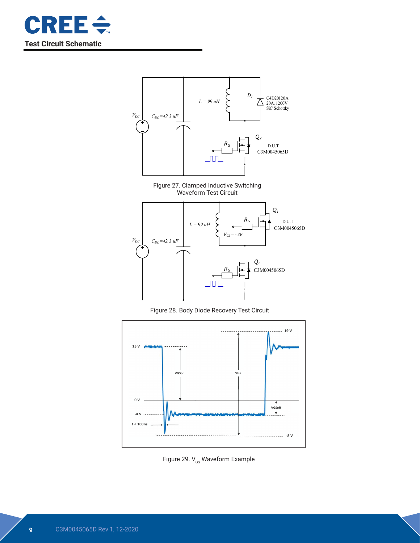







Figure 28. Body Diode Recovery Test Circuit



Figure 29.  $V_{\text{gs}}$  Waveform Example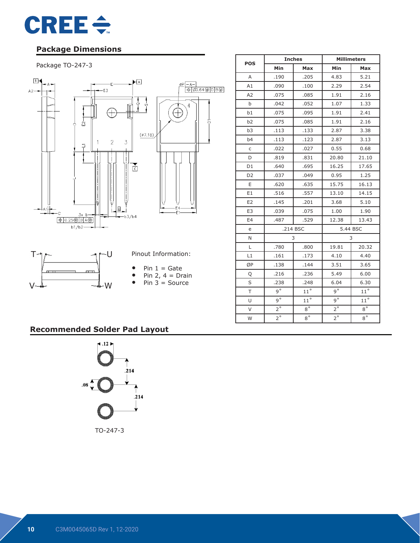

## **Package Dimensions**

#### Package TO-247-3



|                |             | <b>Inches</b> | <b>Millimeters</b> |              |  |
|----------------|-------------|---------------|--------------------|--------------|--|
| <b>POS</b>     | Min         | Max           | Min                | Max          |  |
| A              | .190        | .205          | 4.83               | 5.21         |  |
| A1             | .090        | .100          | 2.29               | 2.54         |  |
| A2             | .075        | .085          | 1.91               | 2.16         |  |
| b              | .042        | .052          | 1.07               | 1.33         |  |
| b1             | .075        | .095          | 1.91               | 2.41         |  |
| b2             | .075        | .085          | 1.91               | 2.16         |  |
| b <sub>3</sub> | .113        | .133          | 2.87               | 3.38         |  |
| b4             | .113        | .123          | 2.87               | 3.13         |  |
| $\mathsf C$    | .022        | .027          | 0.55               | 0.68         |  |
| D              | .819        | .831          | 20.80              | 21.10        |  |
| D <sub>1</sub> | .640        | .695          | 16.25              | 17.65        |  |
| D <sub>2</sub> | .037        | .049          | 0.95               | 1.25         |  |
| E              | .620        | .635          | 15.75              | 16.13        |  |
| E1             | .516        | .557          | 13.10              | 14.15        |  |
| E <sub>2</sub> | .145        | .201          | 3.68               | 5.10         |  |
| E <sub>3</sub> | .039        | .075          | 1.00               | 1.90         |  |
| E4             | .487        | .529          | 12.38              | 13.43        |  |
| e              |             | .214 BSC      | 5.44 BSC           |              |  |
| N              |             | 3             |                    | 3            |  |
| L              | .780        | .800          | 19.81              | 20.32        |  |
| L1             | .161        | .173          | 4.10               | 4.40         |  |
| ØP             | .138        | .144          | 3.51               | 3.65         |  |
| Q              | .216        | .236          | 5.49               | 6.00         |  |
| S              | .238        | .248          | 6.04               | 6.30         |  |
| T              | $q^{\circ}$ | $11^{\circ}$  | $q^{\circ}$        | $11^{\circ}$ |  |
| U              | $9^{\circ}$ | $11^{\circ}$  | $9^{\circ}$        | $11^{\circ}$ |  |
| $\vee$         | $2^{\circ}$ | $8^{\circ}$   | $2^{\circ}$        | $8^{\circ}$  |  |
| W              | $2^{\circ}$ | $8^{\circ}$   | $2^{\circ}$        | $8^{\circ}$  |  |

## **Recommended Solder Pad Layout**